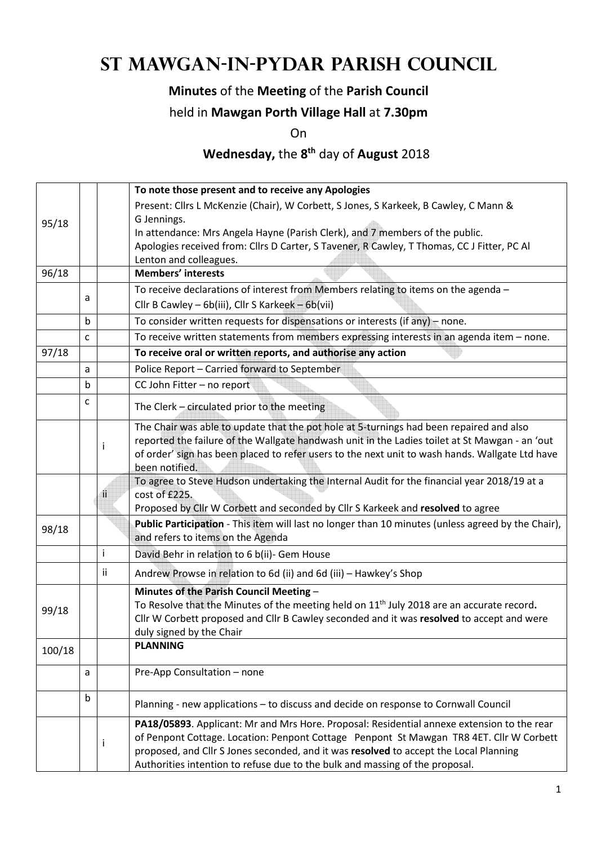## **St Mawgan-in-Pydar Parish Council**

### **Minutes** of the **Meeting** of the **Parish Council**

#### held in **Mawgan Porth Village Hall** at **7.30pm**

On

#### **Wednesday,** the **8 th** day of **August** 2018

|        |              |                                                              | To note those present and to receive any Apologies                                                 |  |  |  |
|--------|--------------|--------------------------------------------------------------|----------------------------------------------------------------------------------------------------|--|--|--|
|        |              |                                                              | Present: Cllrs L McKenzie (Chair), W Corbett, S Jones, S Karkeek, B Cawley, C Mann &               |  |  |  |
| 95/18  |              |                                                              | G Jennings.                                                                                        |  |  |  |
|        |              |                                                              | In attendance: Mrs Angela Hayne (Parish Clerk), and 7 members of the public.                       |  |  |  |
|        |              |                                                              | Apologies received from: Cllrs D Carter, S Tavener, R Cawley, T Thomas, CC J Fitter, PC Al         |  |  |  |
|        |              |                                                              | Lenton and colleagues.                                                                             |  |  |  |
| 96/18  |              |                                                              | <b>Members' interests</b>                                                                          |  |  |  |
|        | a            |                                                              | To receive declarations of interest from Members relating to items on the agenda -                 |  |  |  |
|        |              |                                                              | Cllr B Cawley - 6b(iii), Cllr S Karkeek - 6b(vii)                                                  |  |  |  |
|        | $\mathsf b$  |                                                              | To consider written requests for dispensations or interests (if any) - none.                       |  |  |  |
|        | C            |                                                              | To receive written statements from members expressing interests in an agenda item - none.          |  |  |  |
| 97/18  |              | To receive oral or written reports, and authorise any action |                                                                                                    |  |  |  |
|        | a            |                                                              | Police Report - Carried forward to September                                                       |  |  |  |
|        | b            |                                                              | CC John Fitter - no report                                                                         |  |  |  |
|        | C            |                                                              | The Clerk - circulated prior to the meeting                                                        |  |  |  |
|        |              |                                                              | The Chair was able to update that the pot hole at 5-turnings had been repaired and also            |  |  |  |
|        |              | т                                                            | reported the failure of the Wallgate handwash unit in the Ladies toilet at St Mawgan - an 'out     |  |  |  |
|        |              |                                                              | of order' sign has been placed to refer users to the next unit to wash hands. Wallgate Ltd have    |  |  |  |
|        |              |                                                              | been notified.                                                                                     |  |  |  |
|        |              |                                                              | To agree to Steve Hudson undertaking the Internal Audit for the financial year 2018/19 at a        |  |  |  |
|        |              | <u>ii</u>                                                    | cost of £225.                                                                                      |  |  |  |
|        |              |                                                              | Proposed by Cllr W Corbett and seconded by Cllr S Karkeek and resolved to agree                    |  |  |  |
| 98/18  |              |                                                              | Public Participation - This item will last no longer than 10 minutes (unless agreed by the Chair), |  |  |  |
|        |              |                                                              | and refers to items on the Agenda                                                                  |  |  |  |
|        |              | i                                                            | David Behr in relation to 6 b(ii)- Gem House                                                       |  |  |  |
|        |              | ii.                                                          | Andrew Prowse in relation to 6d (ii) and 6d (iii) - Hawkey's Shop                                  |  |  |  |
|        |              |                                                              | Minutes of the Parish Council Meeting -                                                            |  |  |  |
| 99/18  |              |                                                              | To Resolve that the Minutes of the meeting held on $11th$ July 2018 are an accurate record.        |  |  |  |
|        |              |                                                              | Cllr W Corbett proposed and Cllr B Cawley seconded and it was resolved to accept and were          |  |  |  |
|        |              |                                                              | duly signed by the Chair                                                                           |  |  |  |
| 100/18 |              |                                                              | <b>PLANNING</b>                                                                                    |  |  |  |
|        | a            |                                                              | Pre-App Consultation - none                                                                        |  |  |  |
|        |              |                                                              |                                                                                                    |  |  |  |
|        | $\mathsf{b}$ |                                                              | Planning - new applications - to discuss and decide on response to Cornwall Council                |  |  |  |
|        |              |                                                              | PA18/05893. Applicant: Mr and Mrs Hore. Proposal: Residential annexe extension to the rear         |  |  |  |
|        |              | Ť                                                            | of Penpont Cottage. Location: Penpont Cottage Penpont St Mawgan TR8 4ET. Cllr W Corbett            |  |  |  |
|        |              |                                                              | proposed, and Cllr S Jones seconded, and it was resolved to accept the Local Planning              |  |  |  |
|        |              |                                                              | Authorities intention to refuse due to the bulk and massing of the proposal.                       |  |  |  |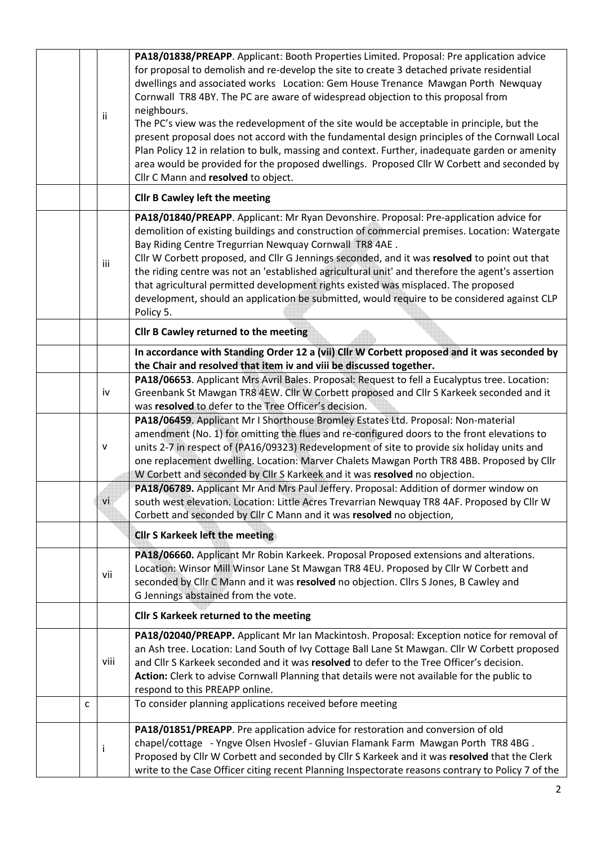| ii           | PA18/01838/PREAPP. Applicant: Booth Properties Limited. Proposal: Pre application advice<br>for proposal to demolish and re-develop the site to create 3 detached private residential<br>dwellings and associated works Location: Gem House Trenance Mawgan Porth Newquay<br>Cornwall TR8 4BY. The PC are aware of widespread objection to this proposal from<br>neighbours.<br>The PC's view was the redevelopment of the site would be acceptable in principle, but the<br>present proposal does not accord with the fundamental design principles of the Cornwall Local<br>Plan Policy 12 in relation to bulk, massing and context. Further, inadequate garden or amenity<br>area would be provided for the proposed dwellings. Proposed Cllr W Corbett and seconded by<br>Cllr C Mann and resolved to object. |  |  |  |  |  |  |
|--------------|-------------------------------------------------------------------------------------------------------------------------------------------------------------------------------------------------------------------------------------------------------------------------------------------------------------------------------------------------------------------------------------------------------------------------------------------------------------------------------------------------------------------------------------------------------------------------------------------------------------------------------------------------------------------------------------------------------------------------------------------------------------------------------------------------------------------|--|--|--|--|--|--|
|              | <b>Cllr B Cawley left the meeting</b>                                                                                                                                                                                                                                                                                                                                                                                                                                                                                                                                                                                                                                                                                                                                                                             |  |  |  |  |  |  |
| iii          | PA18/01840/PREAPP. Applicant: Mr Ryan Devonshire. Proposal: Pre-application advice for<br>demolition of existing buildings and construction of commercial premises. Location: Watergate<br>Bay Riding Centre Tregurrian Newquay Cornwall TR8 4AE.<br>Cllr W Corbett proposed, and Cllr G Jennings seconded, and it was resolved to point out that<br>the riding centre was not an 'established agricultural unit' and therefore the agent's assertion<br>that agricultural permitted development rights existed was misplaced. The proposed<br>development, should an application be submitted, would require to be considered against CLP<br>Policy 5.                                                                                                                                                           |  |  |  |  |  |  |
|              | Cllr B Cawley returned to the meeting                                                                                                                                                                                                                                                                                                                                                                                                                                                                                                                                                                                                                                                                                                                                                                             |  |  |  |  |  |  |
|              | In accordance with Standing Order 12 a (vii) Cllr W Corbett proposed and it was seconded by                                                                                                                                                                                                                                                                                                                                                                                                                                                                                                                                                                                                                                                                                                                       |  |  |  |  |  |  |
|              | the Chair and resolved that item iv and viii be discussed together.<br>PA18/06653. Applicant Mrs Avril Bales. Proposal: Request to fell a Eucalyptus tree. Location:                                                                                                                                                                                                                                                                                                                                                                                                                                                                                                                                                                                                                                              |  |  |  |  |  |  |
| iv           | Greenbank St Mawgan TR8 4EW. Cllr W Corbett proposed and Cllr S Karkeek seconded and it<br>was resolved to defer to the Tree Officer's decision.                                                                                                                                                                                                                                                                                                                                                                                                                                                                                                                                                                                                                                                                  |  |  |  |  |  |  |
| v            | PA18/06459. Applicant Mr I Shorthouse Bromley Estates Ltd. Proposal: Non-material<br>amendment (No. 1) for omitting the flues and re-configured doors to the front elevations to<br>units 2-7 in respect of (PA16/09323) Redevelopment of site to provide six holiday units and<br>one replacement dwelling. Location: Marver Chalets Mawgan Porth TR8 4BB. Proposed by Cllr<br>W Corbett and seconded by Cllr S Karkeek and it was resolved no objection.                                                                                                                                                                                                                                                                                                                                                        |  |  |  |  |  |  |
| vi           | PA18/06789. Applicant Mr And Mrs Paul Jeffery. Proposal: Addition of dormer window on<br>south west elevation. Location: Little Acres Trevarrian Newquay TR8 4AF. Proposed by Cllr W<br>Corbett and seconded by Cllr C Mann and it was resolved no objection,                                                                                                                                                                                                                                                                                                                                                                                                                                                                                                                                                     |  |  |  |  |  |  |
|              | <b>CIIr S Karkeek left the meeting</b>                                                                                                                                                                                                                                                                                                                                                                                                                                                                                                                                                                                                                                                                                                                                                                            |  |  |  |  |  |  |
| vii          | PA18/06660. Applicant Mr Robin Karkeek. Proposal Proposed extensions and alterations.<br>Location: Winsor Mill Winsor Lane St Mawgan TR8 4EU. Proposed by Cllr W Corbett and<br>seconded by Cllr C Mann and it was resolved no objection. Cllrs S Jones, B Cawley and<br>G Jennings abstained from the vote.                                                                                                                                                                                                                                                                                                                                                                                                                                                                                                      |  |  |  |  |  |  |
|              | <b>Cllr S Karkeek returned to the meeting</b>                                                                                                                                                                                                                                                                                                                                                                                                                                                                                                                                                                                                                                                                                                                                                                     |  |  |  |  |  |  |
| viii         | PA18/02040/PREAPP. Applicant Mr Ian Mackintosh. Proposal: Exception notice for removal of<br>an Ash tree. Location: Land South of Ivy Cottage Ball Lane St Mawgan. Cllr W Corbett proposed<br>and Cllr S Karkeek seconded and it was resolved to defer to the Tree Officer's decision.<br>Action: Clerk to advise Cornwall Planning that details were not available for the public to<br>respond to this PREAPP online.                                                                                                                                                                                                                                                                                                                                                                                           |  |  |  |  |  |  |
| $\mathsf{C}$ | To consider planning applications received before meeting                                                                                                                                                                                                                                                                                                                                                                                                                                                                                                                                                                                                                                                                                                                                                         |  |  |  |  |  |  |
| $\mathbf{I}$ | PA18/01851/PREAPP. Pre application advice for restoration and conversion of old<br>chapel/cottage - Yngve Olsen Hvoslef - Gluvian Flamank Farm Mawgan Porth TR8 4BG.<br>Proposed by Cllr W Corbett and seconded by Cllr S Karkeek and it was resolved that the Clerk<br>write to the Case Officer citing recent Planning Inspectorate reasons contrary to Policy 7 of the                                                                                                                                                                                                                                                                                                                                                                                                                                         |  |  |  |  |  |  |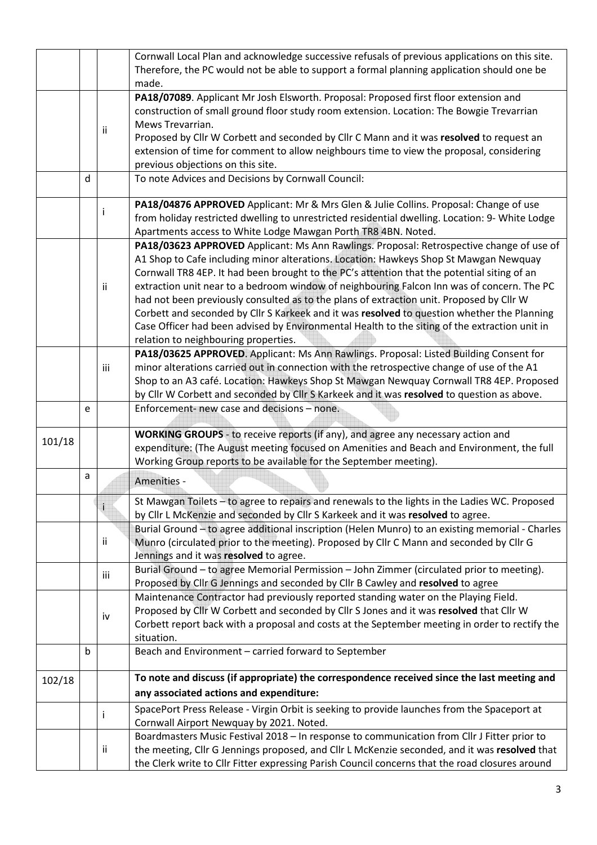|        |   |              | Cornwall Local Plan and acknowledge successive refusals of previous applications on this site.  |  |  |  |  |
|--------|---|--------------|-------------------------------------------------------------------------------------------------|--|--|--|--|
|        |   |              | Therefore, the PC would not be able to support a formal planning application should one be      |  |  |  |  |
|        |   |              | made.                                                                                           |  |  |  |  |
|        |   |              | PA18/07089. Applicant Mr Josh Elsworth. Proposal: Proposed first floor extension and            |  |  |  |  |
|        |   |              | construction of small ground floor study room extension. Location: The Bowgie Trevarrian        |  |  |  |  |
|        |   |              | Mews Trevarrian.                                                                                |  |  |  |  |
|        |   | ii           | Proposed by Cllr W Corbett and seconded by Cllr C Mann and it was resolved to request an        |  |  |  |  |
|        |   |              | extension of time for comment to allow neighbours time to view the proposal, considering        |  |  |  |  |
|        |   |              | previous objections on this site.                                                               |  |  |  |  |
|        | d |              | To note Advices and Decisions by Cornwall Council:                                              |  |  |  |  |
|        |   |              | PA18/04876 APPROVED Applicant: Mr & Mrs Glen & Julie Collins. Proposal: Change of use           |  |  |  |  |
|        |   |              | from holiday restricted dwelling to unrestricted residential dwelling. Location: 9- White Lodge |  |  |  |  |
|        |   |              | Apartments access to White Lodge Mawgan Porth TR8 4BN. Noted.                                   |  |  |  |  |
|        |   |              | PA18/03623 APPROVED Applicant: Ms Ann Rawlings. Proposal: Retrospective change of use of        |  |  |  |  |
|        |   |              | A1 Shop to Cafe including minor alterations. Location: Hawkeys Shop St Mawgan Newquay           |  |  |  |  |
|        |   |              | Cornwall TR8 4EP. It had been brought to the PC's attention that the potential siting of an     |  |  |  |  |
|        |   | ii.          | extraction unit near to a bedroom window of neighbouring Falcon Inn was of concern. The PC      |  |  |  |  |
|        |   |              | had not been previously consulted as to the plans of extraction unit. Proposed by Cllr W        |  |  |  |  |
|        |   |              | Corbett and seconded by Cllr S Karkeek and it was resolved to question whether the Planning     |  |  |  |  |
|        |   |              | Case Officer had been advised by Environmental Health to the siting of the extraction unit in   |  |  |  |  |
|        |   |              | relation to neighbouring properties.                                                            |  |  |  |  |
|        |   |              | PA18/03625 APPROVED. Applicant: Ms Ann Rawlings. Proposal: Listed Building Consent for          |  |  |  |  |
|        |   | iii          | minor alterations carried out in connection with the retrospective change of use of the A1      |  |  |  |  |
|        |   |              | Shop to an A3 café. Location: Hawkeys Shop St Mawgan Newquay Cornwall TR8 4EP. Proposed         |  |  |  |  |
|        |   |              | by Cllr W Corbett and seconded by Cllr S Karkeek and it was resolved to question as above.      |  |  |  |  |
|        | e |              | Enforcement- new case and decisions - none.                                                     |  |  |  |  |
|        |   |              |                                                                                                 |  |  |  |  |
| 101/18 |   |              | WORKING GROUPS - to receive reports (if any), and agree any necessary action and                |  |  |  |  |
|        |   |              | expenditure: (The August meeting focused on Amenities and Beach and Environment, the full       |  |  |  |  |
|        |   |              | Working Group reports to be available for the September meeting).                               |  |  |  |  |
|        | a |              | Amenities -                                                                                     |  |  |  |  |
|        |   |              | St Mawgan Toilets – to agree to repairs and renewals to the lights in the Ladies WC. Proposed   |  |  |  |  |
|        |   | $\mathbf{i}$ | by Cllr L McKenzie and seconded by Cllr S Karkeek and it was resolved to agree.                 |  |  |  |  |
|        |   |              | Burial Ground - to agree additional inscription (Helen Munro) to an existing memorial - Charles |  |  |  |  |
|        |   | Ϊİ           | Munro (circulated prior to the meeting). Proposed by ClIr C Mann and seconded by ClIr G         |  |  |  |  |
|        |   |              | Jennings and it was resolved to agree.                                                          |  |  |  |  |
|        |   | iii          | Burial Ground - to agree Memorial Permission - John Zimmer (circulated prior to meeting).       |  |  |  |  |
|        |   |              | Proposed by Cllr G Jennings and seconded by Cllr B Cawley and resolved to agree                 |  |  |  |  |
|        |   |              | Maintenance Contractor had previously reported standing water on the Playing Field.             |  |  |  |  |
|        |   | iv           | Proposed by Cllr W Corbett and seconded by Cllr S Jones and it was resolved that Cllr W         |  |  |  |  |
|        |   |              | Corbett report back with a proposal and costs at the September meeting in order to rectify the  |  |  |  |  |
|        |   |              | situation.                                                                                      |  |  |  |  |
|        | b |              | Beach and Environment - carried forward to September                                            |  |  |  |  |
| 102/18 |   |              | To note and discuss (if appropriate) the correspondence received since the last meeting and     |  |  |  |  |
|        |   |              | any associated actions and expenditure:                                                         |  |  |  |  |
|        |   |              | SpacePort Press Release - Virgin Orbit is seeking to provide launches from the Spaceport at     |  |  |  |  |
|        |   | ı            | Cornwall Airport Newquay by 2021. Noted.                                                        |  |  |  |  |
|        |   |              | Boardmasters Music Festival 2018 - In response to communication from Cllr J Fitter prior to     |  |  |  |  |
|        |   | ij.          | the meeting, Cllr G Jennings proposed, and Cllr L McKenzie seconded, and it was resolved that   |  |  |  |  |
|        |   |              | the Clerk write to Cllr Fitter expressing Parish Council concerns that the road closures around |  |  |  |  |
|        |   |              |                                                                                                 |  |  |  |  |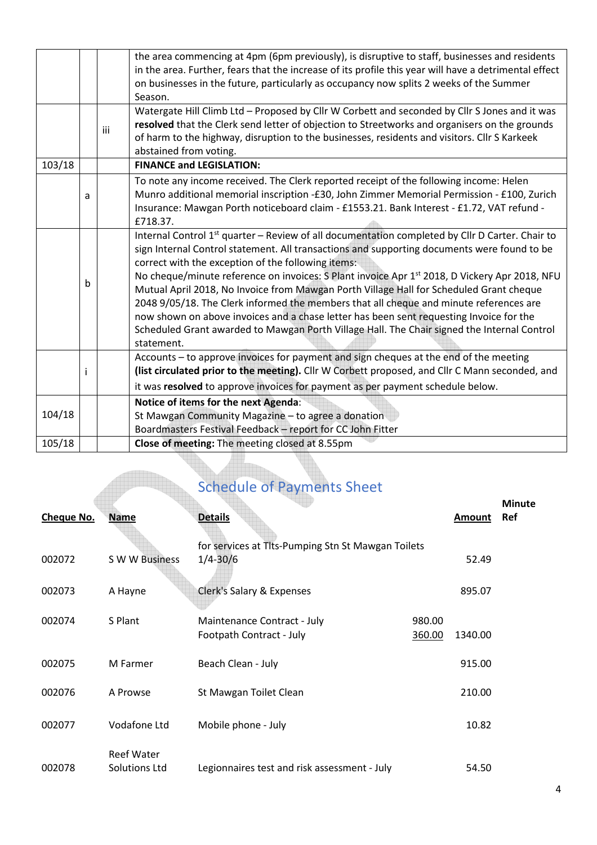|        |   |     | the area commencing at 4pm (6pm previously), is disruptive to staff, businesses and residents<br>in the area. Further, fears that the increase of its profile this year will have a detrimental effect<br>on businesses in the future, particularly as occupancy now splits 2 weeks of the Summer<br>Season.                                                                                                                                                                                                                                                                                                                                                                                                                                                   |  |  |  |  |
|--------|---|-----|----------------------------------------------------------------------------------------------------------------------------------------------------------------------------------------------------------------------------------------------------------------------------------------------------------------------------------------------------------------------------------------------------------------------------------------------------------------------------------------------------------------------------------------------------------------------------------------------------------------------------------------------------------------------------------------------------------------------------------------------------------------|--|--|--|--|
|        |   | iii | Watergate Hill Climb Ltd - Proposed by Cllr W Corbett and seconded by Cllr S Jones and it was<br>resolved that the Clerk send letter of objection to Streetworks and organisers on the grounds<br>of harm to the highway, disruption to the businesses, residents and visitors. Cllr S Karkeek<br>abstained from voting.                                                                                                                                                                                                                                                                                                                                                                                                                                       |  |  |  |  |
| 103/18 |   |     | <b>FINANCE and LEGISLATION:</b>                                                                                                                                                                                                                                                                                                                                                                                                                                                                                                                                                                                                                                                                                                                                |  |  |  |  |
|        | a |     | To note any income received. The Clerk reported receipt of the following income: Helen<br>Munro additional memorial inscription -£30, John Zimmer Memorial Permission - £100, Zurich<br>Insurance: Mawgan Porth noticeboard claim - £1553.21. Bank Interest - £1.72, VAT refund -<br>£718.37.                                                                                                                                                                                                                                                                                                                                                                                                                                                                  |  |  |  |  |
|        | b |     | Internal Control 1 <sup>st</sup> quarter - Review of all documentation completed by Cllr D Carter. Chair to<br>sign Internal Control statement. All transactions and supporting documents were found to be<br>correct with the exception of the following items:<br>No cheque/minute reference on invoices: S Plant invoice Apr 1st 2018, D Vickery Apr 2018, NFU<br>Mutual April 2018, No Invoice from Mawgan Porth Village Hall for Scheduled Grant cheque<br>2048 9/05/18. The Clerk informed the members that all cheque and minute references are<br>now shown on above invoices and a chase letter has been sent requesting Invoice for the<br>Scheduled Grant awarded to Mawgan Porth Village Hall. The Chair signed the Internal Control<br>statement. |  |  |  |  |
|        | i |     | Accounts – to approve invoices for payment and sign cheques at the end of the meeting<br>(list circulated prior to the meeting). Cllr W Corbett proposed, and Cllr C Mann seconded, and<br>it was resolved to approve invoices for payment as per payment schedule below.                                                                                                                                                                                                                                                                                                                                                                                                                                                                                      |  |  |  |  |
| 104/18 |   |     | Notice of items for the next Agenda:<br>St Mawgan Community Magazine - to agree a donation<br>Boardmasters Festival Feedback - report for CC John Fitter                                                                                                                                                                                                                                                                                                                                                                                                                                                                                                                                                                                                       |  |  |  |  |
| 105/18 |   |     | Close of meeting: The meeting closed at 8.55pm                                                                                                                                                                                                                                                                                                                                                                                                                                                                                                                                                                                                                                                                                                                 |  |  |  |  |

# Schedule of Payments Sheet

| <b>Cheque No.</b> | <b>Name</b>                        | <b>Details</b>                                                     |                  | <b>Amount</b> | <b>Minute</b><br>Ref |
|-------------------|------------------------------------|--------------------------------------------------------------------|------------------|---------------|----------------------|
| 002072            | S W W Business                     | for services at Tlts-Pumping Stn St Mawgan Toilets<br>$1/4 - 30/6$ |                  | 52.49         |                      |
| 002073            | A Hayne                            | Clerk's Salary & Expenses                                          |                  | 895.07        |                      |
| 002074            | S Plant                            | Maintenance Contract - July<br>Footpath Contract - July            | 980.00<br>360.00 | 1340.00       |                      |
| 002075            | M Farmer                           | Beach Clean - July                                                 |                  | 915.00        |                      |
| 002076            | A Prowse                           | St Mawgan Toilet Clean                                             |                  | 210.00        |                      |
| 002077            | Vodafone Ltd                       | Mobile phone - July                                                |                  | 10.82         |                      |
| 002078            | <b>Reef Water</b><br>Solutions Ltd | Legionnaires test and risk assessment - July                       |                  | 54.50         |                      |